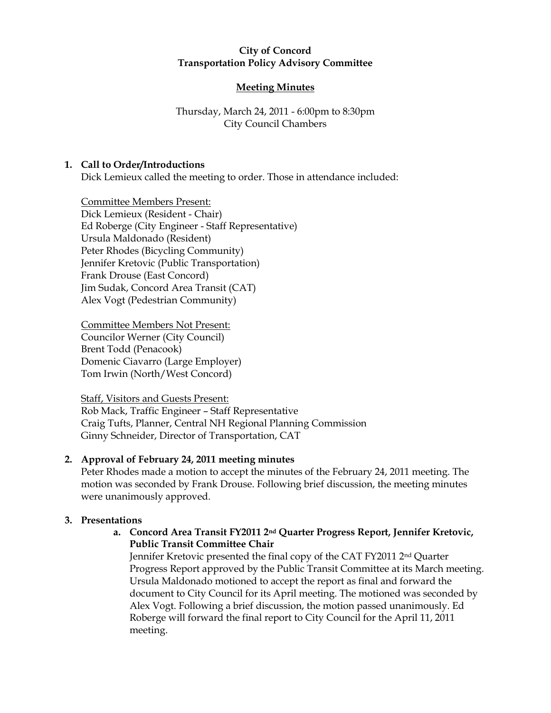### **City of Concord Transportation Policy Advisory Committee**

# **Meeting Minutes**

# Thursday, March 24, 2011 - 6:00pm to 8:30pm City Council Chambers

## **1. Call to Order/Introductions**

Dick Lemieux called the meeting to order. Those in attendance included:

Committee Members Present: Dick Lemieux (Resident - Chair) Ed Roberge (City Engineer - Staff Representative) Ursula Maldonado (Resident) Peter Rhodes (Bicycling Community) Jennifer Kretovic (Public Transportation) Frank Drouse (East Concord) Jim Sudak, Concord Area Transit (CAT) Alex Vogt (Pedestrian Community)

Committee Members Not Present: Councilor Werner (City Council) Brent Todd (Penacook) Domenic Ciavarro (Large Employer) Tom Irwin (North/West Concord)

Staff, Visitors and Guests Present: Rob Mack, Traffic Engineer – Staff Representative Craig Tufts, Planner, Central NH Regional Planning Commission Ginny Schneider, Director of Transportation, CAT

# **2. Approval of February 24, 2011 meeting minutes**

Peter Rhodes made a motion to accept the minutes of the February 24, 2011 meeting. The motion was seconded by Frank Drouse. Following brief discussion, the meeting minutes were unanimously approved.

# **3. Presentations**

**a. Concord Area Transit FY2011 2nd Quarter Progress Report, Jennifer Kretovic, Public Transit Committee Chair**

Jennifer Kretovic presented the final copy of the CAT FY2011 2nd Quarter Progress Report approved by the Public Transit Committee at its March meeting. Ursula Maldonado motioned to accept the report as final and forward the document to City Council for its April meeting. The motioned was seconded by Alex Vogt. Following a brief discussion, the motion passed unanimously. Ed Roberge will forward the final report to City Council for the April 11, 2011 meeting.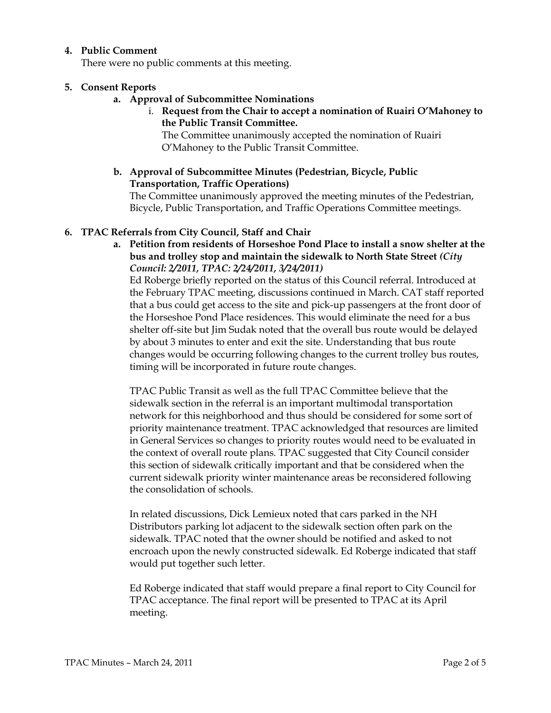### **4. Public Comment**

There were no public comments at this meeting.

### **5. Consent Reports**

- **a. Approval of Subcommittee Nominations**
	- i. **Request from the Chair to accept a nomination of Ruairi O'Mahoney to the Public Transit Committee.**

The Committee unanimously accepted the nomination of Ruairi O'Mahoney to the Public Transit Committee.

**b. Approval of Subcommittee Minutes (Pedestrian, Bicycle, Public Transportation, Traffic Operations)**

The Committee unanimously approved the meeting minutes of the Pedestrian, Bicycle, Public Transportation, and Traffic Operations Committee meetings.

### **6. TPAC Referrals from City Council, Staff and Chair**

**a. Petition from residents of Horseshoe Pond Place to install a snow shelter at the bus and trolley stop and maintain the sidewalk to North State Street** *(City Council: 2/2011, TPAC: 2/24/2011, 3/24/2011)*

Ed Roberge briefly reported on the status of this Council referral. Introduced at the February TPAC meeting, discussions continued in March. CAT staff reported that a bus could get access to the site and pick-up passengers at the front door of the Horseshoe Pond Place residences. This would eliminate the need for a bus shelter off-site but Jim Sudak noted that the overall bus route would be delayed by about 3 minutes to enter and exit the site. Understanding that bus route changes would be occurring following changes to the current trolley bus routes, timing will be incorporated in future route changes.

TPAC Public Transit as well as the full TPAC Committee believe that the sidewalk section in the referral is an important multimodal transportation network for this neighborhood and thus should be considered for some sort of priority maintenance treatment. TPAC acknowledged that resources are limited in General Services so changes to priority routes would need to be evaluated in the context of overall route plans. TPAC suggested that City Council consider this section of sidewalk critically important and that be considered when the current sidewalk priority winter maintenance areas be reconsidered following the consolidation of schools.

In related discussions, Dick Lemieux noted that cars parked in the NH Distributors parking lot adjacent to the sidewalk section often park on the sidewalk. TPAC noted that the owner should be notified and asked to not encroach upon the newly constructed sidewalk. Ed Roberge indicated that staff would put together such letter.

Ed Roberge indicated that staff would prepare a final report to City Council for TPAC acceptance. The final report will be presented to TPAC at its April meeting.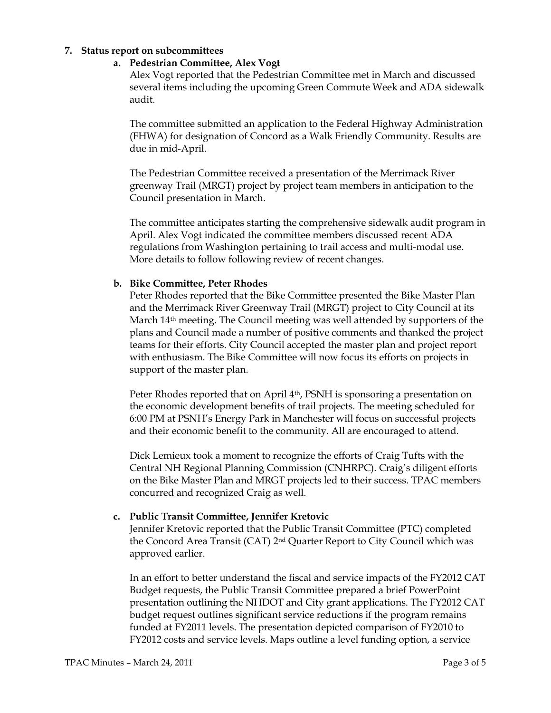#### **7. Status report on subcommittees**

#### **a. Pedestrian Committee, Alex Vogt**

Alex Vogt reported that the Pedestrian Committee met in March and discussed several items including the upcoming Green Commute Week and ADA sidewalk audit.

The committee submitted an application to the Federal Highway Administration (FHWA) for designation of Concord as a Walk Friendly Community. Results are due in mid-April.

The Pedestrian Committee received a presentation of the Merrimack River greenway Trail (MRGT) project by project team members in anticipation to the Council presentation in March.

The committee anticipates starting the comprehensive sidewalk audit program in April. Alex Vogt indicated the committee members discussed recent ADA regulations from Washington pertaining to trail access and multi-modal use. More details to follow following review of recent changes.

#### **b. Bike Committee, Peter Rhodes**

Peter Rhodes reported that the Bike Committee presented the Bike Master Plan and the Merrimack River Greenway Trail (MRGT) project to City Council at its March  $14<sup>th</sup>$  meeting. The Council meeting was well attended by supporters of the plans and Council made a number of positive comments and thanked the project teams for their efforts. City Council accepted the master plan and project report with enthusiasm. The Bike Committee will now focus its efforts on projects in support of the master plan.

Peter Rhodes reported that on April 4<sup>th</sup>, PSNH is sponsoring a presentation on the economic development benefits of trail projects. The meeting scheduled for 6:00 PM at PSNH's Energy Park in Manchester will focus on successful projects and their economic benefit to the community. All are encouraged to attend.

Dick Lemieux took a moment to recognize the efforts of Craig Tufts with the Central NH Regional Planning Commission (CNHRPC). Craig's diligent efforts on the Bike Master Plan and MRGT projects led to their success. TPAC members concurred and recognized Craig as well.

#### **c. Public Transit Committee, Jennifer Kretovic**

Jennifer Kretovic reported that the Public Transit Committee (PTC) completed the Concord Area Transit (CAT) 2nd Quarter Report to City Council which was approved earlier.

In an effort to better understand the fiscal and service impacts of the FY2012 CAT Budget requests, the Public Transit Committee prepared a brief PowerPoint presentation outlining the NHDOT and City grant applications. The FY2012 CAT budget request outlines significant service reductions if the program remains funded at FY2011 levels. The presentation depicted comparison of FY2010 to FY2012 costs and service levels. Maps outline a level funding option, a service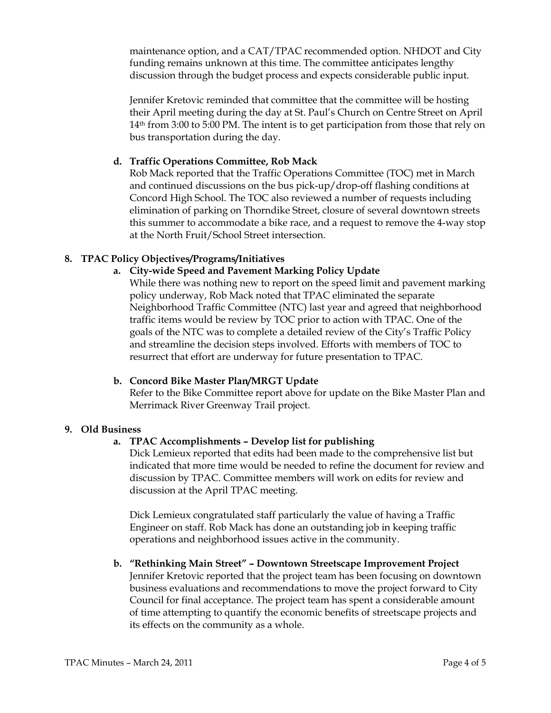maintenance option, and a CAT/TPAC recommended option. NHDOT and City funding remains unknown at this time. The committee anticipates lengthy discussion through the budget process and expects considerable public input.

Jennifer Kretovic reminded that committee that the committee will be hosting their April meeting during the day at St. Paul's Church on Centre Street on April 14th from 3:00 to 5:00 PM. The intent is to get participation from those that rely on bus transportation during the day.

## **d. Traffic Operations Committee, Rob Mack**

Rob Mack reported that the Traffic Operations Committee (TOC) met in March and continued discussions on the bus pick-up/drop-off flashing conditions at Concord High School. The TOC also reviewed a number of requests including elimination of parking on Thorndike Street, closure of several downtown streets this summer to accommodate a bike race, and a request to remove the 4-way stop at the North Fruit/School Street intersection.

## **8. TPAC Policy Objectives/Programs/Initiatives**

# **a. City-wide Speed and Pavement Marking Policy Update**

While there was nothing new to report on the speed limit and pavement marking policy underway, Rob Mack noted that TPAC eliminated the separate Neighborhood Traffic Committee (NTC) last year and agreed that neighborhood traffic items would be review by TOC prior to action with TPAC. One of the goals of the NTC was to complete a detailed review of the City's Traffic Policy and streamline the decision steps involved. Efforts with members of TOC to resurrect that effort are underway for future presentation to TPAC.

## **b. Concord Bike Master Plan/MRGT Update**

Refer to the Bike Committee report above for update on the Bike Master Plan and Merrimack River Greenway Trail project.

## **9. Old Business**

## **a. TPAC Accomplishments – Develop list for publishing**

Dick Lemieux reported that edits had been made to the comprehensive list but indicated that more time would be needed to refine the document for review and discussion by TPAC. Committee members will work on edits for review and discussion at the April TPAC meeting.

Dick Lemieux congratulated staff particularly the value of having a Traffic Engineer on staff. Rob Mack has done an outstanding job in keeping traffic operations and neighborhood issues active in the community.

## **b. "Rethinking Main Street" – Downtown Streetscape Improvement Project**

Jennifer Kretovic reported that the project team has been focusing on downtown business evaluations and recommendations to move the project forward to City Council for final acceptance. The project team has spent a considerable amount of time attempting to quantify the economic benefits of streetscape projects and its effects on the community as a whole.